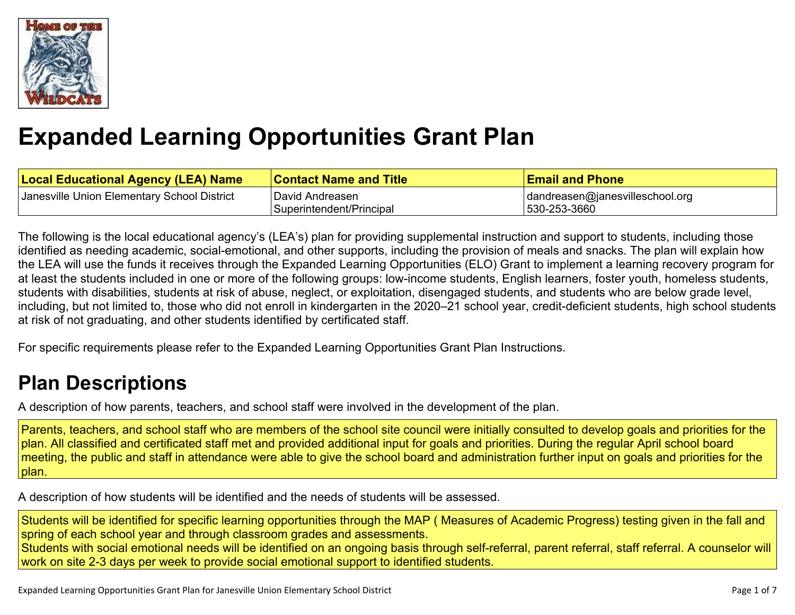

# **Expanded Learning [Opportunities](#page-3-0) Grant Plan**

| <b>Local Educational Agency (LEA) Name</b>  | <b>Contact Name and Title</b> | <b>Email and Phone</b>                  |
|---------------------------------------------|-------------------------------|-----------------------------------------|
| Janesville Union Elementary School District | David Andreasen               | $\vert$ dandreasen@janesvilleschool.org |
|                                             | Superintendent/Principal      | 530-253-3660                            |

The following is the local educational agency's (LEA's) plan for providing supplemental instruction and support to students, including those identified as needing academic, social-emotional, and other supports, including the provision of meals and snacks. The plan will explain how the LEA will use the funds it receives through the Expanded Learning Opportunities (ELO) Grant to implement a learning recovery program for at least the students included in one or more of the following groups: low-income students, English learners, foster youth, homeless students, students with disabilities, students at risk of abuse, neglect, or exploitation, disengaged students, and students who are below grade level, including, but not limited to, those who did not enroll in kindergarten in the 2020–21 school year, credit-deficient students, high school students at risk of not graduating, and other students identified by certificated staff.

For specific requirements please refer to the Expanded Learning Opportunities Grant Plan Instructions.

# **Plan [Descriptions](#page-5-0)**

A description of how parents, teachers, and school staff were involved in the [development](#page-5-1) of the plan.

Parents, teachers, and school staff who are members of the school site council were initially consulted to develop goals and priorities for the plan. All classified and certificated staff met and provided additional input for goals and priorities. During the regular April school board meeting, the public and staff in attendance were able to give the school board and administration further input on goals and priorities for the plan.

A [description](#page-5-2) of how students will be identified and the needs of students will be assessed[.](#page-5-2)

Students will be identified for specific learning opportunities through the MAP ( Measures of Academic Progress) testing given in the fall and spring of each school year and through classroom grades and assessments.

Students with social emotional needs will be identified on an ongoing basis through self-referral, parent referral, staff referral. A counselor will work on site 2-3 days per week to provide social emotional support to identified students.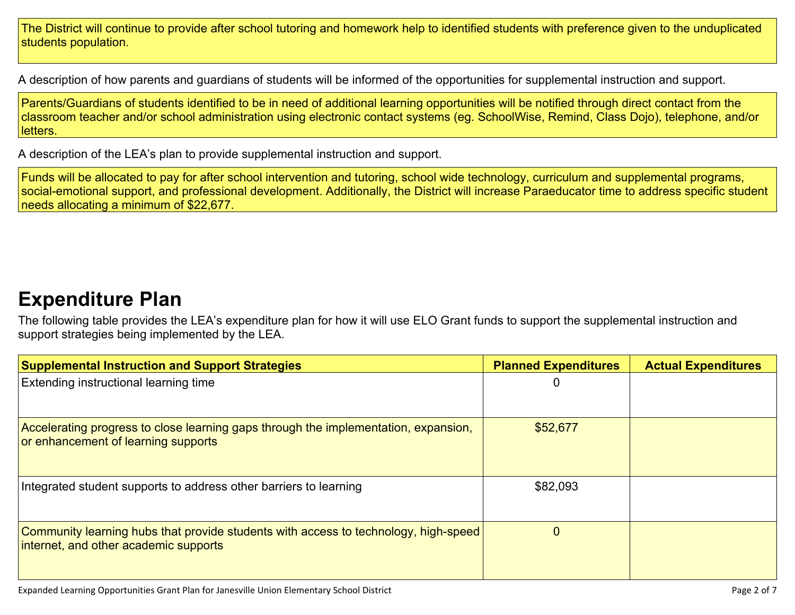The District will continue to provide after school tutoring and homework help to identified students with preference given to the unduplicated students population.

A description of how parents and guardians of students will be informed of the opportunities for [supplemental](#page-5-3) instruction and support[.](#page-5-3)

Parents/Guardians of students identified to be in need of additional learning opportunities will be notified through direct contact from the classroom teacher and/or school administration using electronic contact systems (eg. SchoolWise, Remind, Class Dojo), telephone, and/or letters.

A description of the LEA's plan to provide [supplemental](#page-5-4) instruction and support[.](#page-5-4)

Funds will be allocated to pay for after school intervention and tutoring, school wide technology, curriculum and supplemental programs, social-emotional support, and professional development. Additionally, the District will increase Paraeducator time to address specific student needs allocating a minimum of \$22,677.

### **[Expenditure](#page-6-0) Pla[n](#page-6-0)**

The following table provides the LEA's expenditure plan for how it will use ELO Grant funds to support the supplemental instruction and support strategies being implemented by the LEA.

| <b>Supplemental Instruction and Support Strategies</b>                                                                       | <b>Planned Expenditures</b> | <b>Actual Expenditures</b> |
|------------------------------------------------------------------------------------------------------------------------------|-----------------------------|----------------------------|
| Extending instructional learning time                                                                                        |                             |                            |
| Accelerating progress to close learning gaps through the implementation, expansion,<br>or enhancement of learning supports   | \$52,677                    |                            |
| Integrated student supports to address other barriers to learning                                                            | \$82,093                    |                            |
| Community learning hubs that provide students with access to technology, high-speed<br>internet, and other academic supports |                             |                            |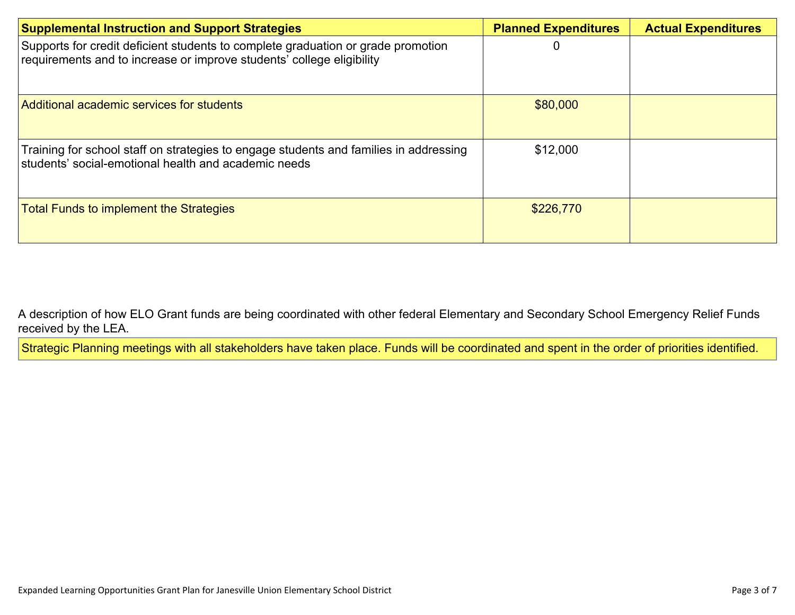| <b>Supplemental Instruction and Support Strategies</b>                                                                                                    | <b>Planned Expenditures</b> | <b>Actual Expenditures</b> |
|-----------------------------------------------------------------------------------------------------------------------------------------------------------|-----------------------------|----------------------------|
| Supports for credit deficient students to complete graduation or grade promotion<br>requirements and to increase or improve students' college eligibility |                             |                            |
| Additional academic services for students                                                                                                                 | \$80,000                    |                            |
| Training for school staff on strategies to engage students and families in addressing<br>students' social-emotional health and academic needs             | \$12,000                    |                            |
| <b>Total Funds to implement the Strategies</b>                                                                                                            | \$226,770                   |                            |

A description of how ELO Grant funds are being [coordinated](#page-6-1) with other federal Elementary and Secondary School Emergency Relief Funds [received](#page-6-1) by the LEA.

Strategic Planning meetings with all stakeholders have taken place. Funds will be coordinated and spent in the order of priorities identified.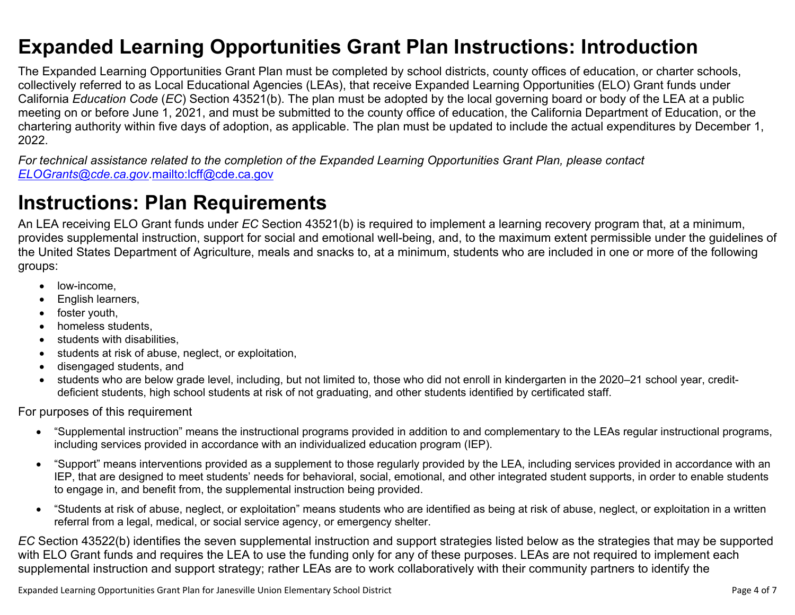### <span id="page-3-0"></span>**Expanded Learning Opportunities Grant Plan Instructions: Introduction**

The Expanded Learning Opportunities Grant Plan must be completed by school districts, county offices of education, or charter schools, collectively referred to as Local Educational Agencies (LEAs), that receive Expanded Learning Opportunities (ELO) Grant funds under California *Education Code* (*EC*) Section 43521(b). The plan must be adopted by the local governing board or body of the LEA at a public meeting on or before June 1, 2021, and must be submitted to the county office of education, the California Department of Education, or the chartering authority within five days of adoption, as applicable. The plan must be updated to include the actual expenditures by December 1, 2022.

For technical assistance related to the completion of the Expanded Learning Opportunities Grant Plan, please contact *[ELOGrants@cde.ca.gov](mailto:ELOGrants@cde.ca.gov).*<mailto:lcff@cde.ca.gov>

### **Instructions: Plan Requirements**

An LEA receiving ELO Grant funds under *EC* Section 43521(b) is required to implement a learning recovery program that, at a minimum, provides supplemental instruction, support for social and emotional well-being, and, to the maximum extent permissible under the guidelines of the United States Department of Agriculture, meals and snacks to, at a minimum, students who are included in one or more of the following groups:

- low-income.
- English learners,
- foster youth,
- homeless students,
- students with disabilities.
- students at risk of abuse, neglect, or exploitation,
- disengaged students, and
- students who are below grade level, including, but not limited to, those who did not enroll in kindergarten in the 2020–21 school year, creditdeficient students, high school students at risk of not graduating, and other students identified by certificated staff.

For purposes of this requirement

- "Supplemental instruction" means the instructional programs provided in addition to and complementary to the LEAs regular instructional programs, including services provided in accordance with an individualized education program (IEP).
- "Support" means interventions provided as a supplement to those regularly provided by the LEA, including services provided in accordance with an IEP, that are designed to meet students' needs for behavioral, social, emotional, and other integrated student supports, in order to enable students to engage in, and benefit from, the supplemental instruction being provided.
- "Students at risk of abuse, neglect, or exploitation" means students who are identified as being at risk of abuse, neglect, or exploitation in a written referral from a legal, medical, or social service agency, or emergency shelter.

*EC* Section 43522(b) identifies the seven supplemental instruction and support strategies listed below as the strategies that may be supported with ELO Grant funds and requires the LEA to use the funding only for any of these purposes. LEAs are not required to implement each supplemental instruction and support strategy; rather LEAs are to work collaboratively with their community partners to identify the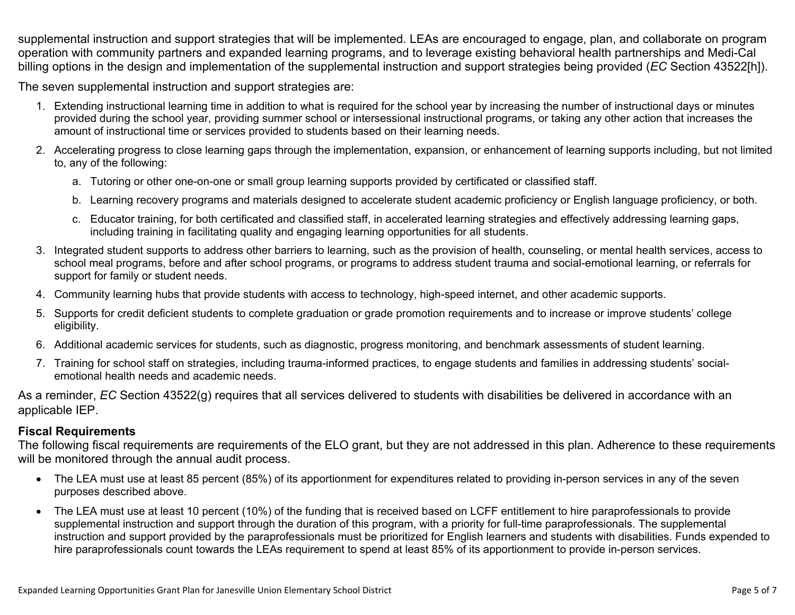supplemental instruction and support strategies that will be implemented. LEAs are encouraged to engage, plan, and collaborate on program operation with community partners and expanded learning programs, and to leverage existing behavioral health partnerships and Medi-Cal billing options in the design and implementation of the supplemental instruction and support strategies being provided (*EC* Section 43522[h]).

The seven supplemental instruction and support strategies are:

- 1. Extending instructional learning time in addition to what is required for the school year by increasing the number of instructional days or minutes provided during the school year, providing summer school or intersessional instructional programs, or taking any other action that increases the amount of instructional time or services provided to students based on their learning needs.
- 2. Accelerating progress to close learning gaps through the implementation, expansion, or enhancement of learning supports including, but not limited to, any of the following:
	- a. Tutoring or other one-on-one or small group learning supports provided by certificated or classified staff.
	- b. Learning recovery programs and materials designed to accelerate student academic proficiency or English language proficiency, or both.
	- c. Educator training, for both certificated and classified staff, in accelerated learning strategies and effectively addressing learning gaps, including training in facilitating quality and engaging learning opportunities for all students.
- 3. Integrated student supports to address other barriers to learning, such as the provision of health, counseling, or mental health services, access to school meal programs, before and after school programs, or programs to address student trauma and social-emotional learning, or referrals for support for family or student needs.
- 4. Community learning hubs that provide students with access to technology, high-speed internet, and other academic supports.
- 5. Supports for credit deficient students to complete graduation or grade promotion requirements and to increase or improve students' college eligibility.
- 6. Additional academic services for students, such as diagnostic, progress monitoring, and benchmark assessments of student learning.
- 7. Training for school staff on strategies, including trauma-informed practices, to engage students and families in addressing students' socialemotional health needs and academic needs.

As a reminder, *EC* Section 43522(g) requires that all services delivered to students with disabilities be delivered in accordance with an applicable IEP.

#### **Fiscal Requirements**

The following fiscal requirements are requirements of the ELO grant, but they are not addressed in this plan. Adherence to these requirements will be monitored through the annual audit process.

- The LEA must use at least 85 percent (85%) of its apportionment for expenditures related to providing in-person services in any of the seven purposes described above.
- The LEA must use at least 10 percent (10%) of the funding that is received based on LCFF entitlement to hire paraprofessionals to provide supplemental instruction and support through the duration of this program, with a priority for full-time paraprofessionals. The supplemental instruction and support provided by the paraprofessionals must be prioritized for English learners and students with disabilities. Funds expended to hire paraprofessionals count towards the LEAs requirement to spend at least 85% of its apportionment to provide in-person services.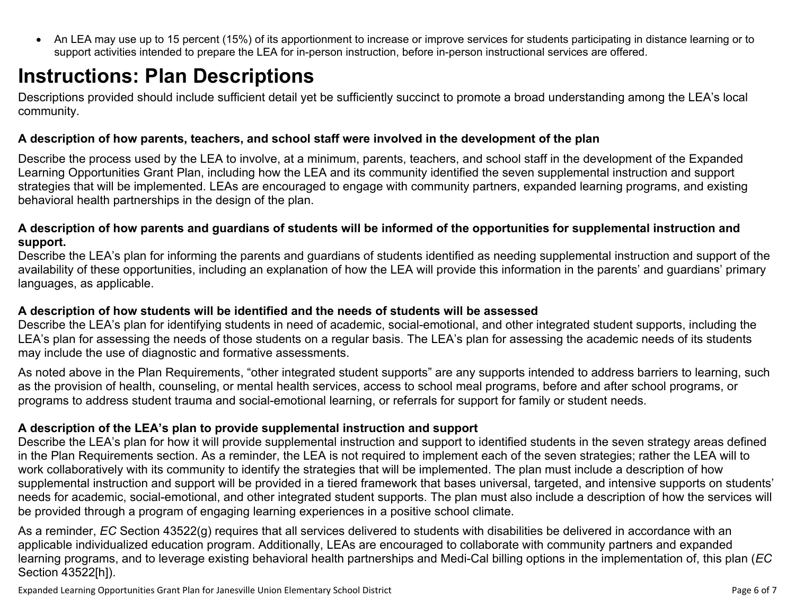<span id="page-5-0"></span> An LEA may use up to 15 percent (15%) of its apportionment to increase or improve services for students participating in distance learning or to support activities intended to prepare the LEA for in-person instruction, before in-person instructional services are offered.

## **Instructions: Plan Descriptions**

Descriptions provided should include sufficient detail yet be sufficiently succinct to promote a broad understanding among the LEA's local community.

#### <span id="page-5-1"></span>**A description of how parents, teachers, and school staff were involved in the development of the plan**

Describe the process used by the LEA to involve, at a minimum, parents, teachers, and school staff in the development of the Expanded Learning Opportunities Grant Plan, including how the LEA and its community identified the seven supplemental instruction and support strategies that will be implemented. LEAs are encouraged to engage with community partners, expanded learning programs, and existing behavioral health partnerships in the design of the plan.

#### <span id="page-5-2"></span>A description of how parents and guardians of students will be informed of the opportunities for supplemental instruction and **support.**

Describe the LEA's plan for informing the parents and guardians of students identified as needing supplemental instruction and support of the availability of these opportunities, including an explanation of how the LEA will provide this information in the parents' and guardians' primary languages, as applicable.

#### <span id="page-5-3"></span>**A description of how students will be identified and the needs of students will be assessed**

Describe the LEA's plan for identifying students in need of academic, social-emotional, and other integrated student supports, including the LEA's plan for assessing the needs of those students on a regular basis. The LEA's plan for assessing the academic needs of its students may include the use of diagnostic and formative assessments.

As noted above in the Plan Requirements, "other integrated student supports" are any supports intended to address barriers to learning, such as the provision of health, counseling, or mental health services, access to school meal programs, before and after school programs, or programs to address student trauma and social-emotional learning, or referrals for support for family or student needs.

#### <span id="page-5-4"></span>**A description of the LEA's plan to provide supplemental instruction and support**

Describe the LEA's plan for how it will provide supplemental instruction and support to identified students in the seven strategy areas defined in the Plan Requirements section. As a reminder, the LEA is not required to implement each of the seven strategies; rather the LEA will to work collaboratively with its community to identify the strategies that will be implemented. The plan must include a description of how supplemental instruction and support will be provided in a tiered framework that bases universal, targeted, and intensive supports on students' needs for academic, social-emotional, and other integrated student supports. The plan must also include a description of how the services will be provided through a program of engaging learning experiences in a positive school climate.

As a reminder, *EC* Section 43522(g) requires that all services delivered to students with disabilities be delivered in accordance with an applicable individualized education program. Additionally, LEAs are encouraged to collaborate with community partners and expanded learning programs, and to leverage existing behavioral health partnerships and Medi-Cal billing options in the implementation of, this plan (*EC* Section 43522[h]).